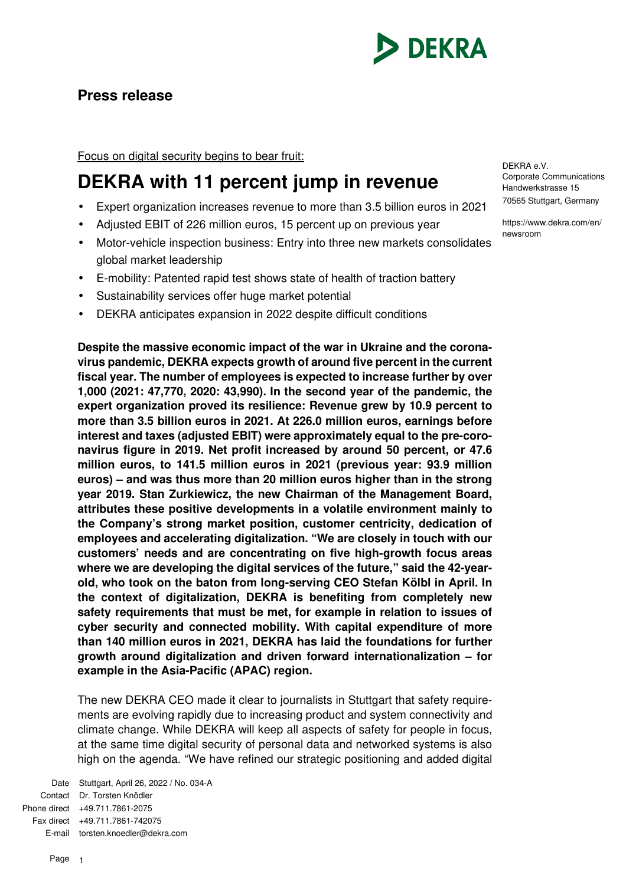

# **Press release**

Focus on digital security begins to bear fruit:

# **DEKRA with 11 percent jump in revenue**

- Expert organization increases revenue to more than 3.5 billion euros in 2021
- Adjusted EBIT of 226 million euros, 15 percent up on previous year
- Motor-vehicle inspection business: Entry into three new markets consolidates global market leadership
- E-mobility: Patented rapid test shows state of health of traction battery
- Sustainability services offer huge market potential
- DEKRA anticipates expansion in 2022 despite difficult conditions

**Despite the massive economic impact of the war in Ukraine and the coronavirus pandemic, DEKRA expects growth of around five percent in the current fiscal year. The number of employees is expected to increase further by over 1,000 (2021: 47,770, 2020: 43,990). In the second year of the pandemic, the expert organization proved its resilience: Revenue grew by 10.9 percent to more than 3.5 billion euros in 2021. At 226.0 million euros, earnings before interest and taxes (adjusted EBIT) were approximately equal to the pre-coronavirus figure in 2019. Net profit increased by around 50 percent, or 47.6 million euros, to 141.5 million euros in 2021 (previous year: 93.9 million euros) – and was thus more than 20 million euros higher than in the strong year 2019. Stan Zurkiewicz, the new Chairman of the Management Board, attributes these positive developments in a volatile environment mainly to the Company's strong market position, customer centricity, dedication of employees and accelerating digitalization. "We are closely in touch with our customers' needs and are concentrating on five high-growth focus areas where we are developing the digital services of the future," said the 42-yearold, who took on the baton from long-serving CEO Stefan Kölbl in April. In the context of digitalization, DEKRA is benefiting from completely new safety requirements that must be met, for example in relation to issues of cyber security and connected mobility. With capital expenditure of more than 140 million euros in 2021, DEKRA has laid the foundations for further growth around digitalization and driven forward internationalization – for example in the Asia-Pacific (APAC) region.** 

The new DEKRA CEO made it clear to journalists in Stuttgart that safety requirements are evolving rapidly due to increasing product and system connectivity and climate change. While DEKRA will keep all aspects of safety for people in focus, at the same time digital security of personal data and networked systems is also high on the agenda. "We have refined our strategic positioning and added digital

Date Stuttgart, April 26, 2022 / No. 034-A Contact Dr. Torsten Knödler Phone direct +49.711.7861-2075 Fax direct +49.711.7861-742075 E-mail torsten.knoedler@dekra.com

DEKRA e.V. Corporate Communications Handwerkstrasse 15 70565 Stuttgart, Germany

https://www.dekra.com/en/ newsroom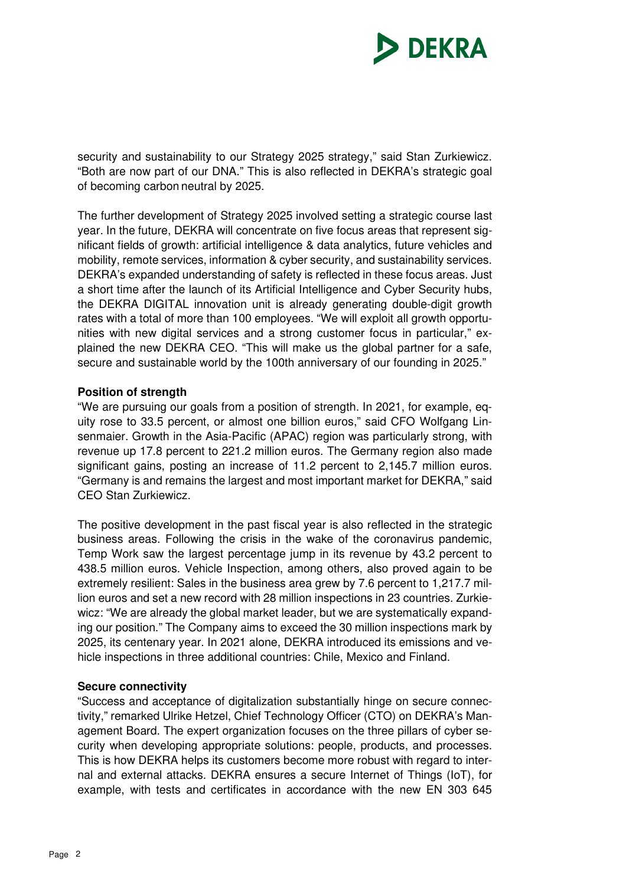

security and sustainability to our Strategy 2025 strategy," said Stan Zurkiewicz. "Both are now part of our DNA." This is also reflected in DEKRA's strategic goal of becoming carbon neutral by 2025.

The further development of Strategy 2025 involved setting a strategic course last year. In the future, DEKRA will concentrate on five focus areas that represent significant fields of growth: artificial intelligence & data analytics, future vehicles and mobility, remote services, information & cyber security, and sustainability services. DEKRA's expanded understanding of safety is reflected in these focus areas. Just a short time after the launch of its Artificial Intelligence and Cyber Security hubs, the DEKRA DIGITAL innovation unit is already generating double-digit growth rates with a total of more than 100 employees. "We will exploit all growth opportunities with new digital services and a strong customer focus in particular," explained the new DEKRA CEO. "This will make us the global partner for a safe, secure and sustainable world by the 100th anniversary of our founding in 2025."

### **Position of strength**

"We are pursuing our goals from a position of strength. In 2021, for example, equity rose to 33.5 percent, or almost one billion euros," said CFO Wolfgang Linsenmaier. Growth in the Asia-Pacific (APAC) region was particularly strong, with revenue up 17.8 percent to 221.2 million euros. The Germany region also made significant gains, posting an increase of 11.2 percent to 2,145.7 million euros. "Germany is and remains the largest and most important market for DEKRA," said CEO Stan Zurkiewicz.

The positive development in the past fiscal year is also reflected in the strategic business areas. Following the crisis in the wake of the coronavirus pandemic, Temp Work saw the largest percentage jump in its revenue by 43.2 percent to 438.5 million euros. Vehicle Inspection, among others, also proved again to be extremely resilient: Sales in the business area grew by 7.6 percent to 1,217.7 million euros and set a new record with 28 million inspections in 23 countries. Zurkiewicz: "We are already the global market leader, but we are systematically expanding our position." The Company aims to exceed the 30 million inspections mark by 2025, its centenary year. In 2021 alone, DEKRA introduced its emissions and vehicle inspections in three additional countries: Chile, Mexico and Finland.

#### **Secure connectivity**

"Success and acceptance of digitalization substantially hinge on secure connectivity," remarked Ulrike Hetzel, Chief Technology Officer (CTO) on DEKRA's Management Board. The expert organization focuses on the three pillars of cyber security when developing appropriate solutions: people, products, and processes. This is how DEKRA helps its customers become more robust with regard to internal and external attacks. DEKRA ensures a secure Internet of Things (IoT), for example, with tests and certificates in accordance with the new EN 303 645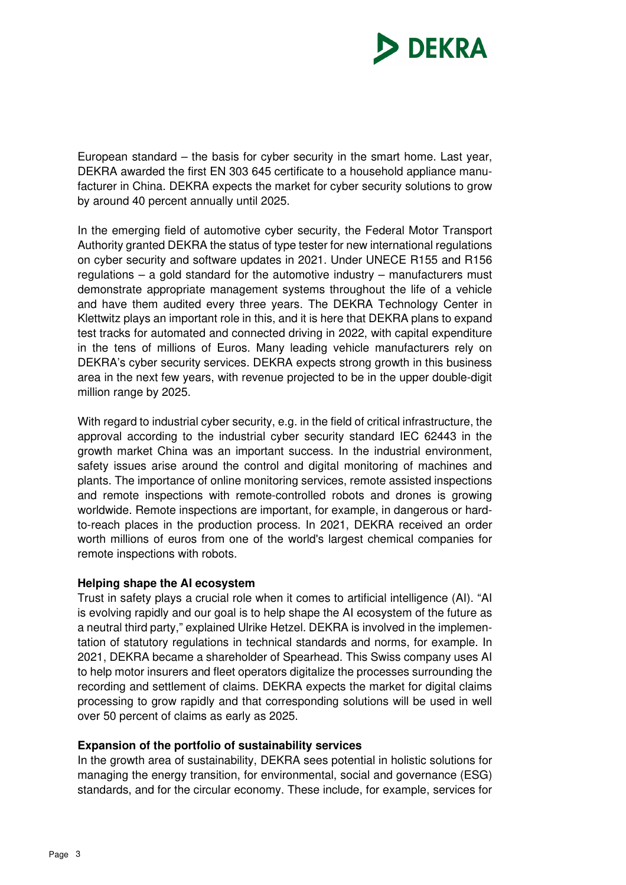

European standard – the basis for cyber security in the smart home. Last year, DEKRA awarded the first EN 303 645 certificate to a household appliance manufacturer in China. DEKRA expects the market for cyber security solutions to grow by around 40 percent annually until 2025.

In the emerging field of automotive cyber security, the Federal Motor Transport Authority granted DEKRA the status of type tester for new international regulations on cyber security and software updates in 2021. Under UNECE R155 and R156 regulations – a gold standard for the automotive industry – manufacturers must demonstrate appropriate management systems throughout the life of a vehicle and have them audited every three years. The DEKRA Technology Center in Klettwitz plays an important role in this, and it is here that DEKRA plans to expand test tracks for automated and connected driving in 2022, with capital expenditure in the tens of millions of Euros. Many leading vehicle manufacturers rely on DEKRA's cyber security services. DEKRA expects strong growth in this business area in the next few years, with revenue projected to be in the upper double-digit million range by 2025.

With regard to industrial cyber security, e.g. in the field of critical infrastructure, the approval according to the industrial cyber security standard IEC 62443 in the growth market China was an important success. In the industrial environment, safety issues arise around the control and digital monitoring of machines and plants. The importance of online monitoring services, remote assisted inspections and remote inspections with remote-controlled robots and drones is growing worldwide. Remote inspections are important, for example, in dangerous or hardto-reach places in the production process. In 2021, DEKRA received an order worth millions of euros from one of the world's largest chemical companies for remote inspections with robots.

# **Helping shape the AI ecosystem**

Trust in safety plays a crucial role when it comes to artificial intelligence (AI). "AI is evolving rapidly and our goal is to help shape the AI ecosystem of the future as a neutral third party," explained Ulrike Hetzel. DEKRA is involved in the implementation of statutory regulations in technical standards and norms, for example. In 2021, DEKRA became a shareholder of Spearhead. This Swiss company uses AI to help motor insurers and fleet operators digitalize the processes surrounding the recording and settlement of claims. DEKRA expects the market for digital claims processing to grow rapidly and that corresponding solutions will be used in well over 50 percent of claims as early as 2025.

#### **Expansion of the portfolio of sustainability services**

In the growth area of sustainability, DEKRA sees potential in holistic solutions for managing the energy transition, for environmental, social and governance (ESG) standards, and for the circular economy. These include, for example, services for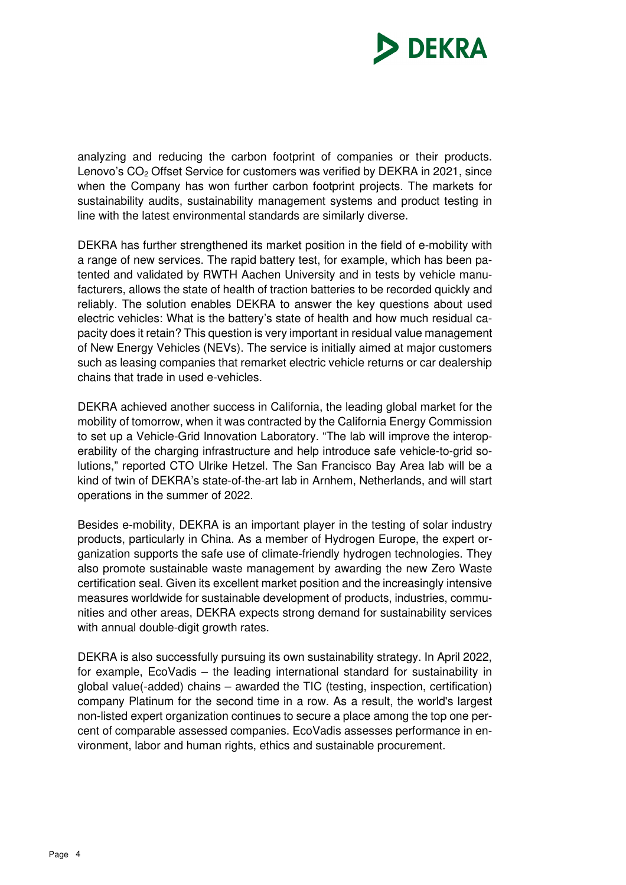

analyzing and reducing the carbon footprint of companies or their products. Lenovo's CO<sub>2</sub> Offset Service for customers was verified by DEKRA in 2021, since when the Company has won further carbon footprint projects. The markets for sustainability audits, sustainability management systems and product testing in line with the latest environmental standards are similarly diverse.

DEKRA has further strengthened its market position in the field of e-mobility with a range of new services. The rapid battery test, for example, which has been patented and validated by RWTH Aachen University and in tests by vehicle manufacturers, allows the state of health of traction batteries to be recorded quickly and reliably. The solution enables DEKRA to answer the key questions about used electric vehicles: What is the battery's state of health and how much residual capacity does it retain? This question is very important in residual value management of New Energy Vehicles (NEVs). The service is initially aimed at major customers such as leasing companies that remarket electric vehicle returns or car dealership chains that trade in used e-vehicles.

DEKRA achieved another success in California, the leading global market for the mobility of tomorrow, when it was contracted by the California Energy Commission to set up a Vehicle-Grid Innovation Laboratory. "The lab will improve the interoperability of the charging infrastructure and help introduce safe vehicle-to-grid solutions," reported CTO Ulrike Hetzel. The San Francisco Bay Area lab will be a kind of twin of DEKRA's state-of-the-art lab in Arnhem, Netherlands, and will start operations in the summer of 2022.

Besides e-mobility, DEKRA is an important player in the testing of solar industry products, particularly in China. As a member of Hydrogen Europe, the expert organization supports the safe use of climate-friendly hydrogen technologies. They also promote sustainable waste management by awarding the new Zero Waste certification seal. Given its excellent market position and the increasingly intensive measures worldwide for sustainable development of products, industries, communities and other areas, DEKRA expects strong demand for sustainability services with annual double-digit growth rates.

DEKRA is also successfully pursuing its own sustainability strategy. In April 2022, for example, EcoVadis – the leading international standard for sustainability in global value(-added) chains – awarded the TIC (testing, inspection, certification) company Platinum for the second time in a row. As a result, the world's largest non-listed expert organization continues to secure a place among the top one percent of comparable assessed companies. EcoVadis assesses performance in environment, labor and human rights, ethics and sustainable procurement.